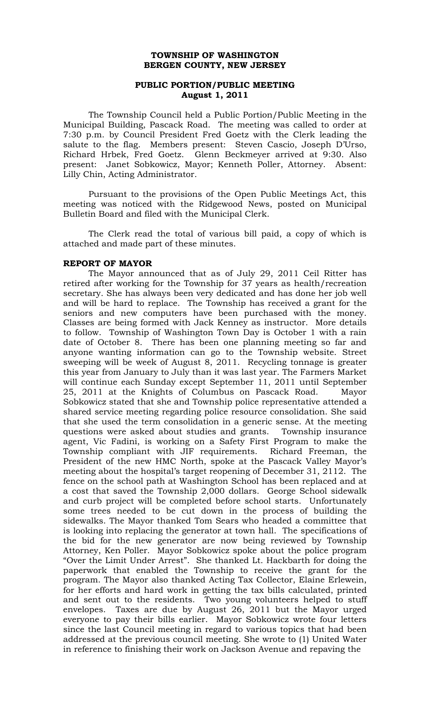# **TOWNSHIP OF WASHINGTON BERGEN COUNTY, NEW JERSEY**

# **PUBLIC PORTION/PUBLIC MEETING August 1, 2011**

The Township Council held a Public Portion/Public Meeting in the Municipal Building, Pascack Road. The meeting was called to order at 7:30 p.m. by Council President Fred Goetz with the Clerk leading the salute to the flag. Members present: Steven Cascio, Joseph D'Urso, Richard Hrbek, Fred Goetz. Glenn Beckmeyer arrived at 9:30. Also present: Janet Sobkowicz, Mayor; Kenneth Poller, Attorney. Absent: Lilly Chin, Acting Administrator.

Pursuant to the provisions of the Open Public Meetings Act, this meeting was noticed with the Ridgewood News, posted on Municipal Bulletin Board and filed with the Municipal Clerk.

The Clerk read the total of various bill paid, a copy of which is attached and made part of these minutes.

#### **REPORT OF MAYOR**

The Mayor announced that as of July 29, 2011 Ceil Ritter has retired after working for the Township for 37 years as health/recreation secretary. She has always been very dedicated and has done her job well and will be hard to replace. The Township has received a grant for the seniors and new computers have been purchased with the money. Classes are being formed with Jack Kenney as instructor. More details to follow. Township of Washington Town Day is October 1 with a rain date of October 8. There has been one planning meeting so far and anyone wanting information can go to the Township website. Street sweeping will be week of August 8, 2011. Recycling tonnage is greater this year from January to July than it was last year. The Farmers Market will continue each Sunday except September 11, 2011 until September 25, 2011 at the Knights of Columbus on Pascack Road. Mayor Sobkowicz stated that she and Township police representative attended a shared service meeting regarding police resource consolidation. She said that she used the term consolidation in a generic sense. At the meeting questions were asked about studies and grants. Township insurance agent, Vic Fadini, is working on a Safety First Program to make the Township compliant with JIF requirements. Richard Freeman, the President of the new HMC North, spoke at the Pascack Valley Mayor's meeting about the hospital's target reopening of December 31, 2112. The fence on the school path at Washington School has been replaced and at a cost that saved the Township 2,000 dollars. George School sidewalk and curb project will be completed before school starts. Unfortunately some trees needed to be cut down in the process of building the sidewalks. The Mayor thanked Tom Sears who headed a committee that is looking into replacing the generator at town hall. The specifications of the bid for the new generator are now being reviewed by Township Attorney, Ken Poller. Mayor Sobkowicz spoke about the police program "Over the Limit Under Arrest". She thanked Lt. Hackbarth for doing the paperwork that enabled the Township to receive the grant for the program. The Mayor also thanked Acting Tax Collector, Elaine Erlewein, for her efforts and hard work in getting the tax bills calculated, printed and sent out to the residents. Two young volunteers helped to stuff envelopes. Taxes are due by August 26, 2011 but the Mayor urged everyone to pay their bills earlier. Mayor Sobkowicz wrote four letters since the last Council meeting in regard to various topics that had been addressed at the previous council meeting. She wrote to (1) United Water in reference to finishing their work on Jackson Avenue and repaving the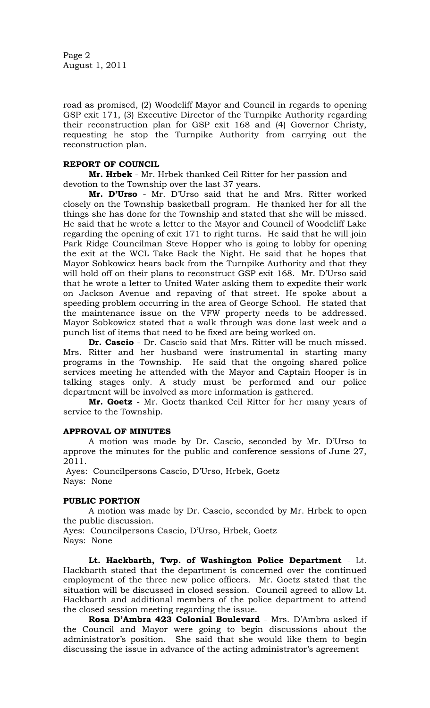Page 2 August 1, 2011

road as promised, (2) Woodcliff Mayor and Council in regards to opening GSP exit 171, (3) Executive Director of the Turnpike Authority regarding their reconstruction plan for GSP exit 168 and (4) Governor Christy, requesting he stop the Turnpike Authority from carrying out the reconstruction plan.

# **REPORT OF COUNCIL**

**Mr. Hrbek** - Mr. Hrbek thanked Ceil Ritter for her passion and devotion to the Township over the last 37 years.

**Mr. D'Urso** - Mr. D'Urso said that he and Mrs. Ritter worked closely on the Township basketball program. He thanked her for all the things she has done for the Township and stated that she will be missed. He said that he wrote a letter to the Mayor and Council of Woodcliff Lake regarding the opening of exit 171 to right turns. He said that he will join Park Ridge Councilman Steve Hopper who is going to lobby for opening the exit at the WCL Take Back the Night. He said that he hopes that Mayor Sobkowicz hears back from the Turnpike Authority and that they will hold off on their plans to reconstruct GSP exit 168. Mr. D'Urso said that he wrote a letter to United Water asking them to expedite their work on Jackson Avenue and repaving of that street. He spoke about a speeding problem occurring in the area of George School. He stated that the maintenance issue on the VFW property needs to be addressed. Mayor Sobkowicz stated that a walk through was done last week and a punch list of items that need to be fixed are being worked on.

**Dr. Cascio** - Dr. Cascio said that Mrs. Ritter will be much missed. Mrs. Ritter and her husband were instrumental in starting many programs in the Township. He said that the ongoing shared police services meeting he attended with the Mayor and Captain Hooper is in talking stages only. A study must be performed and our police department will be involved as more information is gathered.

**Mr. Goetz** - Mr. Goetz thanked Ceil Ritter for her many years of service to the Township.

### **APPROVAL OF MINUTES**

A motion was made by Dr. Cascio, seconded by Mr. D'Urso to approve the minutes for the public and conference sessions of June 27, 2011.

Ayes: Councilpersons Cascio, D'Urso, Hrbek, Goetz Nays: None

### **PUBLIC PORTION**

A motion was made by Dr. Cascio, seconded by Mr. Hrbek to open the public discussion.

Ayes: Councilpersons Cascio, D'Urso, Hrbek, Goetz Nays: None

**Lt. Hackbarth, Twp. of Washington Police Department** - Lt. Hackbarth stated that the department is concerned over the continued employment of the three new police officers. Mr. Goetz stated that the situation will be discussed in closed session. Council agreed to allow Lt. Hackbarth and additional members of the police department to attend the closed session meeting regarding the issue.

**Rosa D'Ambra 423 Colonial Boulevard** - Mrs. D'Ambra asked if the Council and Mayor were going to begin discussions about the administrator's position. She said that she would like them to begin discussing the issue in advance of the acting administrator's agreement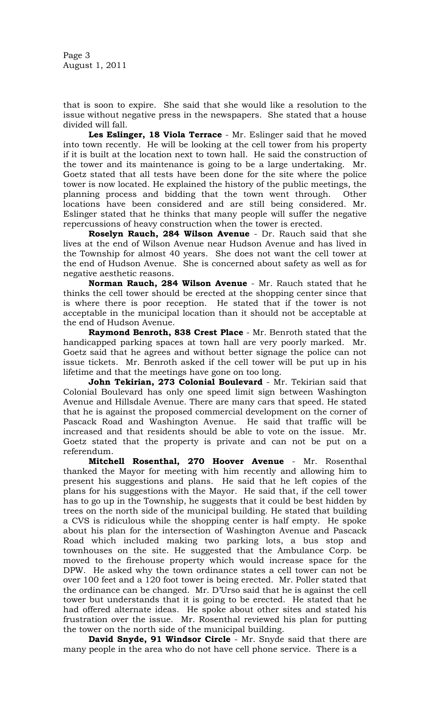Page 3 August 1, 2011

that is soon to expire. She said that she would like a resolution to the issue without negative press in the newspapers. She stated that a house divided will fall.

**Les Eslinger, 18 Viola Terrace** - Mr. Eslinger said that he moved into town recently. He will be looking at the cell tower from his property if it is built at the location next to town hall. He said the construction of the tower and its maintenance is going to be a large undertaking. Mr. Goetz stated that all tests have been done for the site where the police tower is now located. He explained the history of the public meetings, the planning process and bidding that the town went through. Other locations have been considered and are still being considered. Mr. Eslinger stated that he thinks that many people will suffer the negative repercussions of heavy construction when the tower is erected.

**Roselyn Rauch, 284 Wilson Avenue** - Dr. Rauch said that she lives at the end of Wilson Avenue near Hudson Avenue and has lived in the Township for almost 40 years. She does not want the cell tower at the end of Hudson Avenue. She is concerned about safety as well as for negative aesthetic reasons.

**Norman Rauch, 284 Wilson Avenue** - Mr. Rauch stated that he thinks the cell tower should be erected at the shopping center since that is where there is poor reception. He stated that if the tower is not acceptable in the municipal location than it should not be acceptable at the end of Hudson Avenue.

**Raymond Benroth, 838 Crest Place** - Mr. Benroth stated that the handicapped parking spaces at town hall are very poorly marked. Mr. Goetz said that he agrees and without better signage the police can not issue tickets. Mr. Benroth asked if the cell tower will be put up in his lifetime and that the meetings have gone on too long.

**John Tekirian, 273 Colonial Boulevard** - Mr. Tekirian said that Colonial Boulevard has only one speed limit sign between Washington Avenue and Hillsdale Avenue. There are many cars that speed. He stated that he is against the proposed commercial development on the corner of Pascack Road and Washington Avenue. He said that traffic will be increased and that residents should be able to vote on the issue. Mr. Goetz stated that the property is private and can not be put on a referendum.

**Mitchell Rosenthal, 270 Hoover Avenue** - Mr. Rosenthal thanked the Mayor for meeting with him recently and allowing him to present his suggestions and plans. He said that he left copies of the plans for his suggestions with the Mayor. He said that, if the cell tower has to go up in the Township, he suggests that it could be best hidden by trees on the north side of the municipal building. He stated that building a CVS is ridiculous while the shopping center is half empty. He spoke about his plan for the intersection of Washington Avenue and Pascack Road which included making two parking lots, a bus stop and townhouses on the site. He suggested that the Ambulance Corp. be moved to the firehouse property which would increase space for the DPW. He asked why the town ordinance states a cell tower can not be over 100 feet and a 120 foot tower is being erected. Mr. Poller stated that the ordinance can be changed. Mr. D'Urso said that he is against the cell tower but understands that it is going to be erected. He stated that he had offered alternate ideas. He spoke about other sites and stated his frustration over the issue. Mr. Rosenthal reviewed his plan for putting the tower on the north side of the municipal building.

**David Snyde, 91 Windsor Circle** - Mr. Snyde said that there are many people in the area who do not have cell phone service. There is a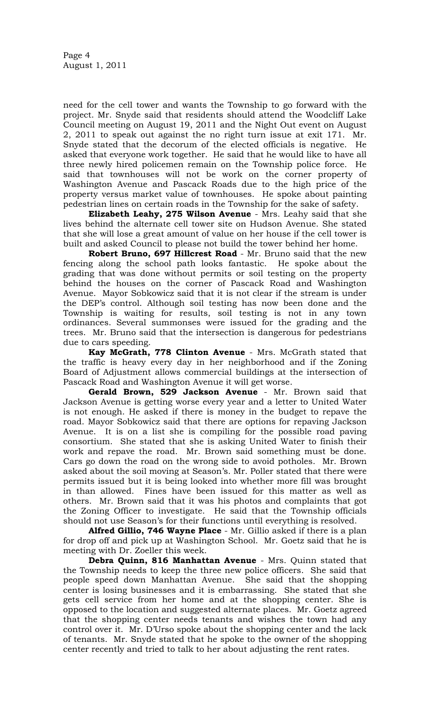need for the cell tower and wants the Township to go forward with the project. Mr. Snyde said that residents should attend the Woodcliff Lake Council meeting on August 19, 2011 and the Night Out event on August 2, 2011 to speak out against the no right turn issue at exit 171. Mr. Snyde stated that the decorum of the elected officials is negative. He asked that everyone work together. He said that he would like to have all three newly hired policemen remain on the Township police force. He said that townhouses will not be work on the corner property of Washington Avenue and Pascack Roads due to the high price of the property versus market value of townhouses. He spoke about painting pedestrian lines on certain roads in the Township for the sake of safety.

**Elizabeth Leahy, 275 Wilson Avenue** - Mrs. Leahy said that she lives behind the alternate cell tower site on Hudson Avenue. She stated that she will lose a great amount of value on her house if the cell tower is built and asked Council to please not build the tower behind her home.

**Robert Bruno, 697 Hillcrest Road** - Mr. Bruno said that the new fencing along the school path looks fantastic. He spoke about the grading that was done without permits or soil testing on the property behind the houses on the corner of Pascack Road and Washington Avenue. Mayor Sobkowicz said that it is not clear if the stream is under the DEP's control. Although soil testing has now been done and the Township is waiting for results, soil testing is not in any town ordinances. Several summonses were issued for the grading and the trees. Mr. Bruno said that the intersection is dangerous for pedestrians due to cars speeding.

**Kay McGrath, 778 Clinton Avenue** - Mrs. McGrath stated that the traffic is heavy every day in her neighborhood and if the Zoning Board of Adjustment allows commercial buildings at the intersection of Pascack Road and Washington Avenue it will get worse.

**Gerald Brown, 529 Jackson Avenue** - Mr. Brown said that Jackson Avenue is getting worse every year and a letter to United Water is not enough. He asked if there is money in the budget to repave the road. Mayor Sobkowicz said that there are options for repaving Jackson Avenue. It is on a list she is compiling for the possible road paving consortium. She stated that she is asking United Water to finish their work and repave the road. Mr. Brown said something must be done. Cars go down the road on the wrong side to avoid potholes. Mr. Brown asked about the soil moving at Season's. Mr. Poller stated that there were permits issued but it is being looked into whether more fill was brought in than allowed. Fines have been issued for this matter as well as others. Mr. Brown said that it was his photos and complaints that got the Zoning Officer to investigate. He said that the Township officials should not use Season's for their functions until everything is resolved.

**Alfred Gillio, 746 Wayne Place** - Mr. Gillio asked if there is a plan for drop off and pick up at Washington School. Mr. Goetz said that he is meeting with Dr. Zoeller this week.

**Debra Quinn, 816 Manhattan Avenue** - Mrs. Quinn stated that the Township needs to keep the three new police officers. She said that people speed down Manhattan Avenue. She said that the shopping center is losing businesses and it is embarrassing. She stated that she gets cell service from her home and at the shopping center. She is opposed to the location and suggested alternate places. Mr. Goetz agreed that the shopping center needs tenants and wishes the town had any control over it. Mr. D'Urso spoke about the shopping center and the lack of tenants. Mr. Snyde stated that he spoke to the owner of the shopping center recently and tried to talk to her about adjusting the rent rates.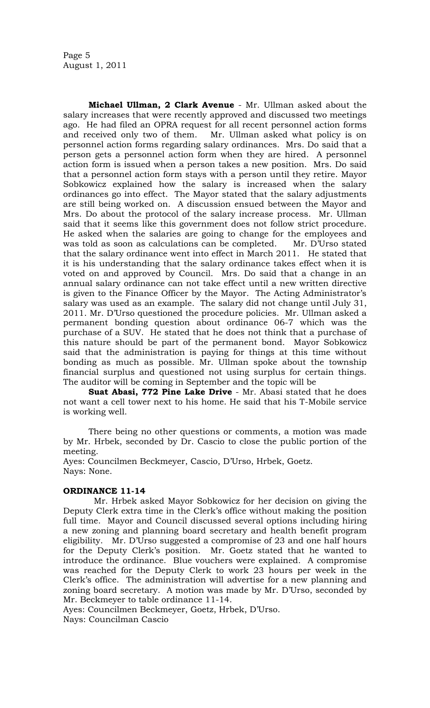Page 5 August 1, 2011

**Michael Ullman, 2 Clark Avenue** - Mr. Ullman asked about the salary increases that were recently approved and discussed two meetings ago. He had filed an OPRA request for all recent personnel action forms and received only two of them. Mr. Ullman asked what policy is on personnel action forms regarding salary ordinances. Mrs. Do said that a person gets a personnel action form when they are hired. A personnel action form is issued when a person takes a new position. Mrs. Do said that a personnel action form stays with a person until they retire. Mayor Sobkowicz explained how the salary is increased when the salary ordinances go into effect. The Mayor stated that the salary adjustments are still being worked on. A discussion ensued between the Mayor and Mrs. Do about the protocol of the salary increase process. Mr. Ullman said that it seems like this government does not follow strict procedure. He asked when the salaries are going to change for the employees and was told as soon as calculations can be completed. Mr. D'Urso stated that the salary ordinance went into effect in March 2011. He stated that it is his understanding that the salary ordinance takes effect when it is voted on and approved by Council. Mrs. Do said that a change in an annual salary ordinance can not take effect until a new written directive is given to the Finance Officer by the Mayor. The Acting Administrator's salary was used as an example. The salary did not change until July 31, 2011. Mr. D'Urso questioned the procedure policies. Mr. Ullman asked a permanent bonding question about ordinance 06-7 which was the purchase of a SUV. He stated that he does not think that a purchase of this nature should be part of the permanent bond. Mayor Sobkowicz said that the administration is paying for things at this time without bonding as much as possible. Mr. Ullman spoke about the township financial surplus and questioned not using surplus for certain things. The auditor will be coming in September and the topic will be

**Suat Abasi, 772 Pine Lake Drive** - Mr. Abasi stated that he does not want a cell tower next to his home. He said that his T-Mobile service is working well.

There being no other questions or comments, a motion was made by Mr. Hrbek, seconded by Dr. Cascio to close the public portion of the meeting.

Ayes: Councilmen Beckmeyer, Cascio, D'Urso, Hrbek, Goetz. Nays: None.

### **ORDINANCE 11-14**

 Mr. Hrbek asked Mayor Sobkowicz for her decision on giving the Deputy Clerk extra time in the Clerk's office without making the position full time. Mayor and Council discussed several options including hiring a new zoning and planning board secretary and health benefit program eligibility. Mr. D'Urso suggested a compromise of 23 and one half hours for the Deputy Clerk's position. Mr. Goetz stated that he wanted to introduce the ordinance. Blue vouchers were explained. A compromise was reached for the Deputy Clerk to work 23 hours per week in the Clerk's office. The administration will advertise for a new planning and zoning board secretary. A motion was made by Mr. D'Urso, seconded by Mr. Beckmeyer to table ordinance 11-14.

Ayes: Councilmen Beckmeyer, Goetz, Hrbek, D'Urso. Nays: Councilman Cascio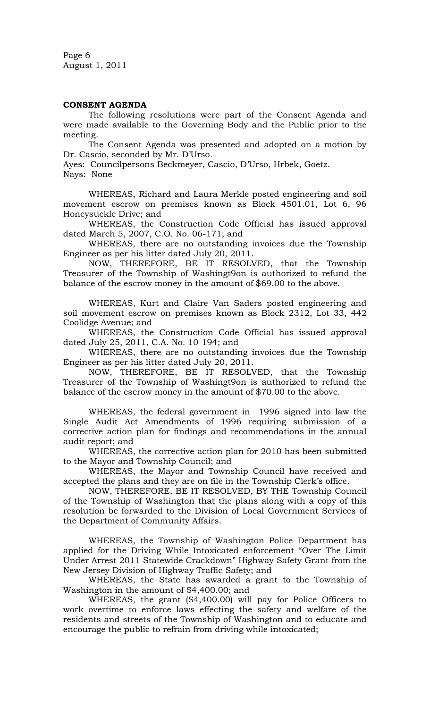Page 6 August 1, 2011

#### **CONSENT AGENDA**

The following resolutions were part of the Consent Agenda and were made available to the Governing Body and the Public prior to the meeting.

The Consent Agenda was presented and adopted on a motion by Dr. Cascio, seconded by Mr. D'Urso.

Ayes: Councilpersons Beckmeyer, Cascio, D'Urso, Hrbek, Goetz. Nays: None

WHEREAS, Richard and Laura Merkle posted engineering and soil movement escrow on premises known as Block 4501.01, Lot 6, 96 Honeysuckle Drive; and

WHEREAS, the Construction Code Official has issued approval dated March 5, 2007, C.O. No. 06-171; and

WHEREAS, there are no outstanding invoices due the Township Engineer as per his litter dated July 20, 2011.

NOW, THEREFORE, BE IT RESOLVED, that the Township Treasurer of the Township of Washingt9on is authorized to refund the balance of the escrow money in the amount of \$69.00 to the above.

WHEREAS, Kurt and Claire Van Saders posted engineering and soil movement escrow on premises known as Block 2312, Lot 33, 442 Coolidge Avenue; and

WHEREAS, the Construction Code Official has issued approval dated July 25, 2011, C.A. No. 10-194; and

WHEREAS, there are no outstanding invoices due the Township Engineer as per his litter dated July 20, 2011.

NOW, THEREFORE, BE IT RESOLVED, that the Township Treasurer of the Township of Washingt9on is authorized to refund the balance of the escrow money in the amount of \$70.00 to the above.

WHEREAS, the federal government in 1996 signed into law the Single Audit Act Amendments of 1996 requiring submission of a corrective action plan for findings and recommendations in the annual audit report; and

WHEREAS, the corrective action plan for 2010 has been submitted to the Mayor and Township Council; and

WHEREAS, the Mayor and Township Council have received and accepted the plans and they are on file in the Township Clerk's office.

NOW, THEREFORE, BE IT RESOLVED, BY THE Township Council of the Township of Washington that the plans along with a copy of this resolution be forwarded to the Division of Local Government Services of the Department of Community Affairs.

WHEREAS, the Township of Washington Police Department has applied for the Driving While Intoxicated enforcement "Over The Limit Under Arrest 2011 Statewide Crackdown" Highway Safety Grant from the New Jersey Division of Highway Traffic Safety; and

WHEREAS, the State has awarded a grant to the Township of Washington in the amount of \$4,400.00; and

WHEREAS, the grant (\$4,400.00) will pay for Police Officers to work overtime to enforce laws effecting the safety and welfare of the residents and streets of the Township of Washington and to educate and encourage the public to refrain from driving while intoxicated;